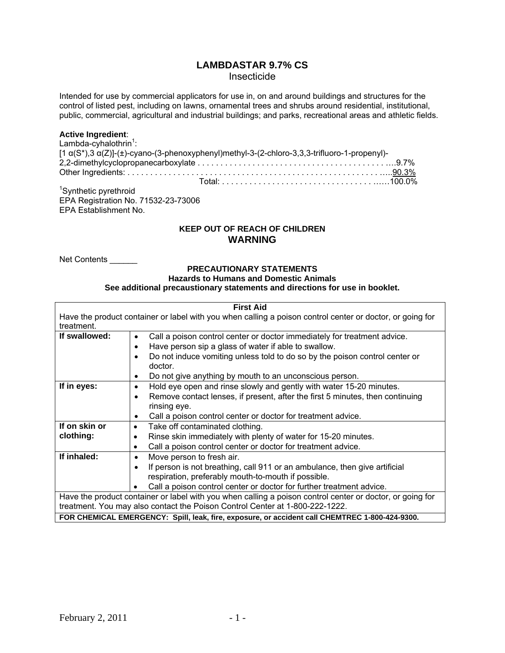# **LAMBDASTAR 9.7% CS**  Insecticide

Intended for use by commercial applicators for use in, on and around buildings and structures for the control of listed pest, including on lawns, ornamental trees and shrubs around residential, institutional, public, commercial, agricultural and industrial buildings; and parks, recreational areas and athletic fields.

### **Active Ingredient**:

| Lambda-cyhalothrin $1$ :                  |                                                                                                                 |  |
|-------------------------------------------|-----------------------------------------------------------------------------------------------------------------|--|
|                                           | $[1 \alpha(S^*)$ , 3 $\alpha(Z)]$ -(±)-cyano-(3-phenoxyphenyl)methyl-3-(2-chloro-3, 3, 3-trifluoro-1-propenyl)- |  |
|                                           |                                                                                                                 |  |
|                                           |                                                                                                                 |  |
|                                           |                                                                                                                 |  |
| $10^{3}$ and $10^{3}$ are seen the set of |                                                                                                                 |  |

<sup>1</sup>Synthetic pyrethroid EPA Registration No. 71532-23-73006 EPA Establishment No.

# **KEEP OUT OF REACH OF CHILDREN WARNING**

Net Contents \_\_\_\_\_\_

# **PRECAUTIONARY STATEMENTS**

#### **Hazards to Humans and Domestic Animals**

**See additional precaustionary statements and directions for use in booklet.** 

| <b>First Aid</b>                                                                                          |                                                                                                |  |  |  |
|-----------------------------------------------------------------------------------------------------------|------------------------------------------------------------------------------------------------|--|--|--|
| Have the product container or label with you when calling a poison control center or doctor, or going for |                                                                                                |  |  |  |
| treatment.                                                                                                |                                                                                                |  |  |  |
| If swallowed:                                                                                             | Call a poison control center or doctor immediately for treatment advice.<br>$\bullet$          |  |  |  |
|                                                                                                           | Have person sip a glass of water if able to swallow.<br>٠                                      |  |  |  |
|                                                                                                           | Do not induce vomiting unless told to do so by the poison control center or<br>$\bullet$       |  |  |  |
|                                                                                                           | doctor.                                                                                        |  |  |  |
|                                                                                                           | Do not give anything by mouth to an unconscious person.<br>٠                                   |  |  |  |
| If in eyes:                                                                                               | Hold eye open and rinse slowly and gently with water 15-20 minutes.<br>$\bullet$               |  |  |  |
|                                                                                                           | Remove contact lenses, if present, after the first 5 minutes, then continuing<br>٠             |  |  |  |
|                                                                                                           | rinsing eye.                                                                                   |  |  |  |
|                                                                                                           | Call a poison control center or doctor for treatment advice.<br>$\bullet$                      |  |  |  |
| If on skin or                                                                                             | Take off contaminated clothing.<br>$\bullet$                                                   |  |  |  |
| clothing:                                                                                                 | Rinse skin immediately with plenty of water for 15-20 minutes.<br>$\bullet$                    |  |  |  |
|                                                                                                           | Call a poison control center or doctor for treatment advice.<br>$\bullet$                      |  |  |  |
| If inhaled:                                                                                               | Move person to fresh air.<br>$\bullet$                                                         |  |  |  |
|                                                                                                           | If person is not breathing, call 911 or an ambulance, then give artificial<br>$\bullet$        |  |  |  |
|                                                                                                           | respiration, preferably mouth-to-mouth if possible.                                            |  |  |  |
|                                                                                                           | Call a poison control center or doctor for further treatment advice.                           |  |  |  |
| Have the product container or label with you when calling a poison control center or doctor, or going for |                                                                                                |  |  |  |
| treatment. You may also contact the Poison Control Center at 1-800-222-1222.                              |                                                                                                |  |  |  |
|                                                                                                           | FOR CHEMICAL EMERGENCY: Spill, leak, fire, exposure, or accident call CHEMTREC 1-800-424-9300. |  |  |  |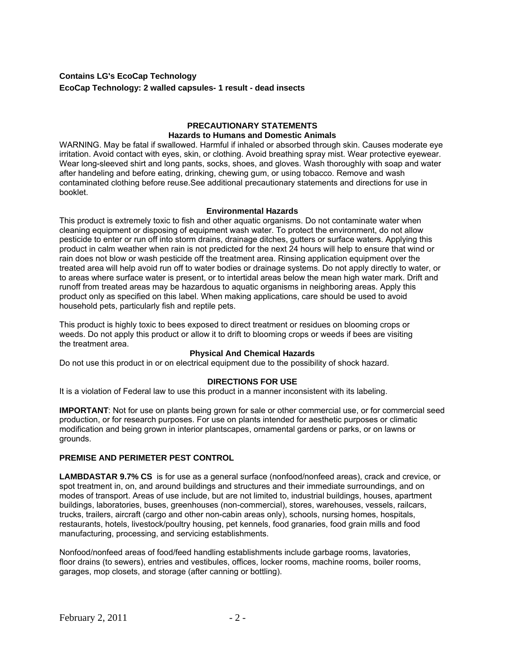# **Contains LG's EcoCap Technology EcoCap Technology: 2 walled capsules- 1 result - dead insects**

### **PRECAUTIONARY STATEMENTS Hazards to Humans and Domestic Animals**

WARNING. May be fatal if swallowed. Harmful if inhaled or absorbed through skin. Causes moderate eye irritation. Avoid contact with eyes, skin, or clothing. Avoid breathing spray mist. Wear protective eyewear. Wear long-sleeved shirt and long pants, socks, shoes, and gloves. Wash thoroughly with soap and water after handeling and before eating, drinking, chewing gum, or using tobacco. Remove and wash contaminated clothing before reuse.See additional precautionary statements and directions for use in booklet.

#### **Environmental Hazards**

This product is extremely toxic to fish and other aquatic organisms. Do not contaminate water when cleaning equipment or disposing of equipment wash water. To protect the environment, do not allow pesticide to enter or run off into storm drains, drainage ditches, gutters or surface waters. Applying this product in calm weather when rain is not predicted for the next 24 hours will help to ensure that wind or rain does not blow or wash pesticide off the treatment area. Rinsing application equipment over the treated area will help avoid run off to water bodies or drainage systems. Do not apply directly to water, or to areas where surface water is present, or to intertidal areas below the mean high water mark. Drift and runoff from treated areas may be hazardous to aquatic organisms in neighboring areas. Apply this product only as specified on this label. When making applications, care should be used to avoid household pets, particularly fish and reptile pets.

This product is highly toxic to bees exposed to direct treatment or residues on blooming crops or weeds. Do not apply this product or allow it to drift to blooming crops or weeds if bees are visiting the treatment area.

# **Physical And Chemical Hazards**

Do not use this product in or on electrical equipment due to the possibility of shock hazard.

## **DIRECTIONS FOR USE**

It is a violation of Federal law to use this product in a manner inconsistent with its labeling.

**IMPORTANT**: Not for use on plants being grown for sale or other commercial use, or for commercial seed production, or for research purposes. For use on plants intended for aesthetic purposes or climatic modification and being grown in interior plantscapes, ornamental gardens or parks, or on lawns or grounds.

# **PREMISE AND PERIMETER PEST CONTROL**

**LAMBDASTAR 9.7% CS** is for use as a general surface (nonfood/nonfeed areas), crack and crevice, or spot treatment in, on, and around buildings and structures and their immediate surroundings, and on modes of transport. Areas of use include, but are not limited to, industrial buildings, houses, apartment buildings, laboratories, buses, greenhouses (non-commercial), stores, warehouses, vessels, railcars, trucks, trailers, aircraft (cargo and other non-cabin areas only), schools, nursing homes, hospitals, restaurants, hotels, livestock/poultry housing, pet kennels, food granaries, food grain mills and food manufacturing, processing, and servicing establishments.

Nonfood/nonfeed areas of food/feed handling establishments include garbage rooms, lavatories, floor drains (to sewers), entries and vestibules, offices, locker rooms, machine rooms, boiler rooms, garages, mop closets, and storage (after canning or bottling).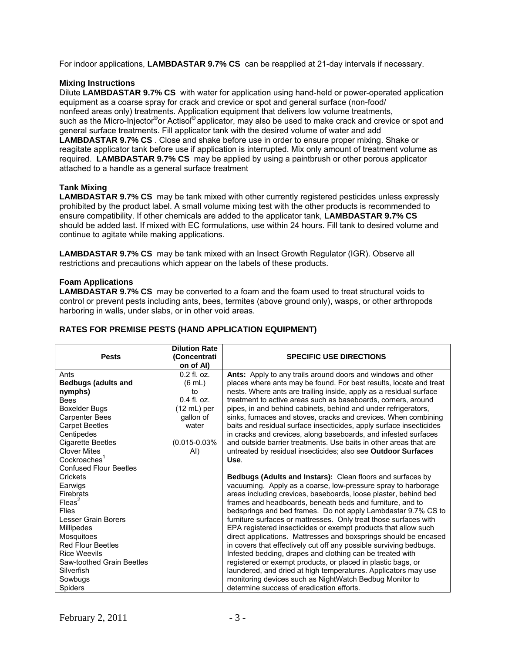For indoor applications, **LAMBDASTAR 9.7% CS** can be reapplied at 21-day intervals if necessary.

# **Mixing Instructions**

Dilute **LAMBDASTAR 9.7% CS** with water for application using hand-held or power-operated application equipment as a coarse spray for crack and crevice or spot and general surface (non-food/ nonfeed areas only) treatments. Application equipment that delivers low volume treatments, such as the Micro-Injector<sup>®</sup>or Actisol<sup>®</sup> applicator, may also be used to make crack and crevice or spot and general surface treatments. Fill applicator tank with the desired volume of water and add **LAMBDASTAR 9.7% CS** . Close and shake before use in order to ensure proper mixing. Shake or reagitate applicator tank before use if application is interrupted. Mix only amount of treatment volume as required. **LAMBDASTAR 9.7% CS** may be applied by using a paintbrush or other porous applicator attached to a handle as a general surface treatment

# **Tank Mixing**

**LAMBDASTAR 9.7% CS** may be tank mixed with other currently registered pesticides unless expressly prohibited by the product label. A small volume mixing test with the other products is recommended to ensure compatibility. If other chemicals are added to the applicator tank, **LAMBDASTAR 9.7% CS**  should be added last. If mixed with EC formulations, use within 24 hours. Fill tank to desired volume and continue to agitate while making applications.

**LAMBDASTAR 9.7% CS** may be tank mixed with an Insect Growth Regulator (IGR). Observe all restrictions and precautions which appear on the labels of these products.

## **Foam Applications**

**LAMBDASTAR 9.7% CS** may be converted to a foam and the foam used to treat structural voids to control or prevent pests including ants, bees, termites (above ground only), wasps, or other arthropods harboring in walls, under slabs, or in other void areas.

| <b>Pests</b>                                                                                                                                                                                                                                | <b>Dilution Rate</b><br>(Concentrati<br>on of Al)                                                                        | <b>SPECIFIC USE DIRECTIONS</b>                                                                                                                                                                                                                                                                                                                                                                                                                                                                                                                                                                                                                                                                                                                                                                                                                        |
|---------------------------------------------------------------------------------------------------------------------------------------------------------------------------------------------------------------------------------------------|--------------------------------------------------------------------------------------------------------------------------|-------------------------------------------------------------------------------------------------------------------------------------------------------------------------------------------------------------------------------------------------------------------------------------------------------------------------------------------------------------------------------------------------------------------------------------------------------------------------------------------------------------------------------------------------------------------------------------------------------------------------------------------------------------------------------------------------------------------------------------------------------------------------------------------------------------------------------------------------------|
| Ants<br><b>Bedbugs (adults and</b><br>nymphs)<br><b>Bees</b><br><b>Boxelder Bugs</b><br><b>Carpenter Bees</b><br><b>Carpet Beetles</b><br>Centipedes<br>Cigarette Beetles                                                                   | $0.2$ fl. oz.<br>$(6 \text{ mL})$<br>to<br>$0.4$ fl. $0z$ .<br>$(12 mL)$ per<br>gallon of<br>water<br>$(0.015 - 0.03\%)$ | Ants: Apply to any trails around doors and windows and other<br>places where ants may be found. For best results, locate and treat<br>nests. Where ants are trailing inside, apply as a residual surface<br>treatment to active areas such as baseboards, corners, around<br>pipes, in and behind cabinets, behind and under refrigerators,<br>sinks, furnaces and stoves, cracks and crevices. When combining<br>baits and residual surface insecticides, apply surface insecticides<br>in cracks and crevices, along baseboards, and infested surfaces<br>and outside barrier treatments. Use baits in other areas that are                                                                                                                                                                                                                         |
| <b>Clover Mites</b><br>Cockroaches <sup>1</sup><br><b>Confused Flour Beetles</b><br>Crickets                                                                                                                                                | AI)                                                                                                                      | untreated by residual insecticides; also see Outdoor Surfaces<br>Use.<br>Bedbugs (Adults and Instars): Clean floors and surfaces by                                                                                                                                                                                                                                                                                                                                                                                                                                                                                                                                                                                                                                                                                                                   |
| Earwigs<br>Firebrats<br>$F$ leas <sup>2</sup><br><b>Flies</b><br>Lesser Grain Borers<br>Millipedes<br>Mosquitoes<br><b>Red Flour Beetles</b><br><b>Rice Weevils</b><br>Saw-toothed Grain Beetles<br>Silverfish<br>Sowbugs<br><b>Spiders</b> |                                                                                                                          | vacuuming. Apply as a coarse, low-pressure spray to harborage<br>areas including crevices, baseboards, loose plaster, behind bed<br>frames and headboards, beneath beds and furniture, and to<br>bedsprings and bed frames. Do not apply Lambdastar 9.7% CS to<br>furniture surfaces or mattresses. Only treat those surfaces with<br>EPA registered insecticides or exempt products that allow such<br>direct applications. Mattresses and boxsprings should be encased<br>in covers that effectively cut off any possible surviving bedbugs.<br>Infested bedding, drapes and clothing can be treated with<br>registered or exempt products, or placed in plastic bags, or<br>laundered, and dried at high temperatures. Applicators may use<br>monitoring devices such as NightWatch Bedbug Monitor to<br>determine success of eradication efforts. |

# **RATES FOR PREMISE PESTS (HAND APPLICATION EQUIPMENT)**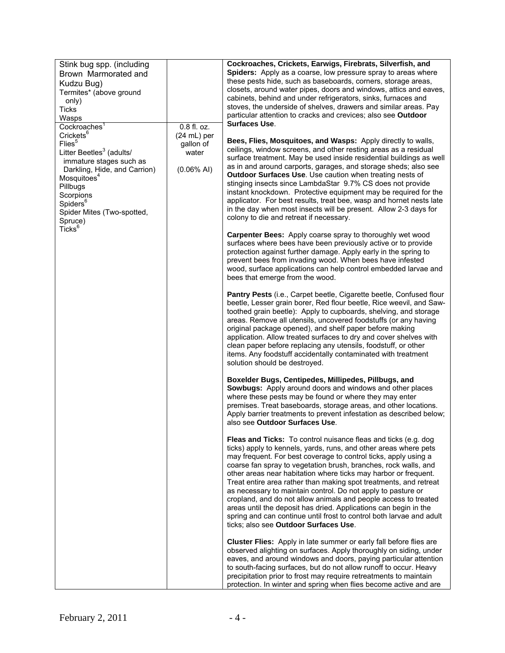| Stink bug spp. (including                                                                                                                                                                                                                |                                                                                                                                                                                                                                                                                                                                                                                                                                                                               | Cockroaches, Crickets, Earwigs, Firebrats, Silverfish, and                                                                                                                                                                                                                                                                                                                                                                                                                                                                                                                                                                                                                                                                               |
|------------------------------------------------------------------------------------------------------------------------------------------------------------------------------------------------------------------------------------------|-------------------------------------------------------------------------------------------------------------------------------------------------------------------------------------------------------------------------------------------------------------------------------------------------------------------------------------------------------------------------------------------------------------------------------------------------------------------------------|------------------------------------------------------------------------------------------------------------------------------------------------------------------------------------------------------------------------------------------------------------------------------------------------------------------------------------------------------------------------------------------------------------------------------------------------------------------------------------------------------------------------------------------------------------------------------------------------------------------------------------------------------------------------------------------------------------------------------------------|
| Brown Marmorated and                                                                                                                                                                                                                     |                                                                                                                                                                                                                                                                                                                                                                                                                                                                               | Spiders: Apply as a coarse, low pressure spray to areas where                                                                                                                                                                                                                                                                                                                                                                                                                                                                                                                                                                                                                                                                            |
| Kudzu Bug)                                                                                                                                                                                                                               |                                                                                                                                                                                                                                                                                                                                                                                                                                                                               | these pests hide, such as baseboards, corners, storage areas,<br>closets, around water pipes, doors and windows, attics and eaves,                                                                                                                                                                                                                                                                                                                                                                                                                                                                                                                                                                                                       |
| Termites* (above ground                                                                                                                                                                                                                  |                                                                                                                                                                                                                                                                                                                                                                                                                                                                               | cabinets, behind and under refrigerators, sinks, furnaces and                                                                                                                                                                                                                                                                                                                                                                                                                                                                                                                                                                                                                                                                            |
| only)<br><b>Ticks</b>                                                                                                                                                                                                                    |                                                                                                                                                                                                                                                                                                                                                                                                                                                                               | stoves, the underside of shelves, drawers and similar areas. Pay                                                                                                                                                                                                                                                                                                                                                                                                                                                                                                                                                                                                                                                                         |
| Wasps                                                                                                                                                                                                                                    |                                                                                                                                                                                                                                                                                                                                                                                                                                                                               | particular attention to cracks and crevices; also see Outdoor                                                                                                                                                                                                                                                                                                                                                                                                                                                                                                                                                                                                                                                                            |
| Cockroaches <sup>1</sup>                                                                                                                                                                                                                 | 0.8 fl. oz.                                                                                                                                                                                                                                                                                                                                                                                                                                                                   | <b>Surfaces Use.</b>                                                                                                                                                                                                                                                                                                                                                                                                                                                                                                                                                                                                                                                                                                                     |
| Crickets <sup>6</sup>                                                                                                                                                                                                                    | $(24 mL)$ per                                                                                                                                                                                                                                                                                                                                                                                                                                                                 | Bees, Flies, Mosquitoes, and Wasps: Apply directly to walls,                                                                                                                                                                                                                                                                                                                                                                                                                                                                                                                                                                                                                                                                             |
| Flies <sup>5</sup><br>gallon of<br>Litter Beetles <sup>3</sup> (adults/<br>water<br>immature stages such as<br>$(0.06\%$ AI)<br>Darkling, Hide, and Carrion)<br>Mosquitoes <sup>4</sup><br>Pillbugs<br>Scorpions<br>Spiders <sup>6</sup> | ceilings, window screens, and other resting areas as a residual<br>surface treatment. May be used inside residential buildings as well<br>as in and around carports, garages, and storage sheds; also see<br>Outdoor Surfaces Use. Use caution when treating nests of<br>stinging insects since LambdaStar 9.7% CS does not provide<br>instant knockdown. Protective equipment may be required for the<br>applicator. For best results, treat bee, wasp and hornet nests late |                                                                                                                                                                                                                                                                                                                                                                                                                                                                                                                                                                                                                                                                                                                                          |
| Spider Mites (Two-spotted,<br>Spruce)<br>Ticks <sup>6</sup>                                                                                                                                                                              |                                                                                                                                                                                                                                                                                                                                                                                                                                                                               | in the day when most insects will be present. Allow 2-3 days for<br>colony to die and retreat if necessary.                                                                                                                                                                                                                                                                                                                                                                                                                                                                                                                                                                                                                              |
|                                                                                                                                                                                                                                          |                                                                                                                                                                                                                                                                                                                                                                                                                                                                               | Carpenter Bees: Apply coarse spray to thoroughly wet wood<br>surfaces where bees have been previously active or to provide<br>protection against further damage. Apply early in the spring to<br>prevent bees from invading wood. When bees have infested<br>wood, surface applications can help control embedded larvae and<br>bees that emerge from the wood.                                                                                                                                                                                                                                                                                                                                                                          |
|                                                                                                                                                                                                                                          |                                                                                                                                                                                                                                                                                                                                                                                                                                                                               | Pantry Pests (i.e., Carpet beetle, Cigarette beetle, Confused flour<br>beetle, Lesser grain borer, Red flour beetle, Rice weevil, and Saw-<br>toothed grain beetle): Apply to cupboards, shelving, and storage<br>areas. Remove all utensils, uncovered foodstuffs (or any having<br>original package opened), and shelf paper before making<br>application. Allow treated surfaces to dry and cover shelves with<br>clean paper before replacing any utensils, foodstuff, or other<br>items. Any foodstuff accidentally contaminated with treatment<br>solution should be destroyed.                                                                                                                                                    |
|                                                                                                                                                                                                                                          |                                                                                                                                                                                                                                                                                                                                                                                                                                                                               | Boxelder Bugs, Centipedes, Millipedes, Pillbugs, and<br><b>Sowbugs:</b> Apply around doors and windows and other places<br>where these pests may be found or where they may enter<br>premises. Treat baseboards, storage areas, and other locations.<br>Apply barrier treatments to prevent infestation as described below;<br>also see Outdoor Surfaces Use.                                                                                                                                                                                                                                                                                                                                                                            |
|                                                                                                                                                                                                                                          |                                                                                                                                                                                                                                                                                                                                                                                                                                                                               | Fleas and Ticks: To control nuisance fleas and ticks (e.g. dog<br>ticks) apply to kennels, yards, runs, and other areas where pets<br>may frequent. For best coverage to control ticks, apply using a<br>coarse fan spray to vegetation brush, branches, rock walls, and<br>other areas near habitation where ticks may harbor or frequent.<br>Treat entire area rather than making spot treatments, and retreat<br>as necessary to maintain control. Do not apply to pasture or<br>cropland, and do not allow animals and people access to treated<br>areas until the deposit has dried. Applications can begin in the<br>spring and can continue until frost to control both larvae and adult<br>ticks; also see Outdoor Surfaces Use. |
|                                                                                                                                                                                                                                          |                                                                                                                                                                                                                                                                                                                                                                                                                                                                               | Cluster Flies: Apply in late summer or early fall before flies are<br>observed alighting on surfaces. Apply thoroughly on siding, under<br>eaves, and around windows and doors, paying particular attention<br>to south-facing surfaces, but do not allow runoff to occur. Heavy<br>precipitation prior to frost may require retreatments to maintain<br>protection. In winter and spring when flies become active and are                                                                                                                                                                                                                                                                                                               |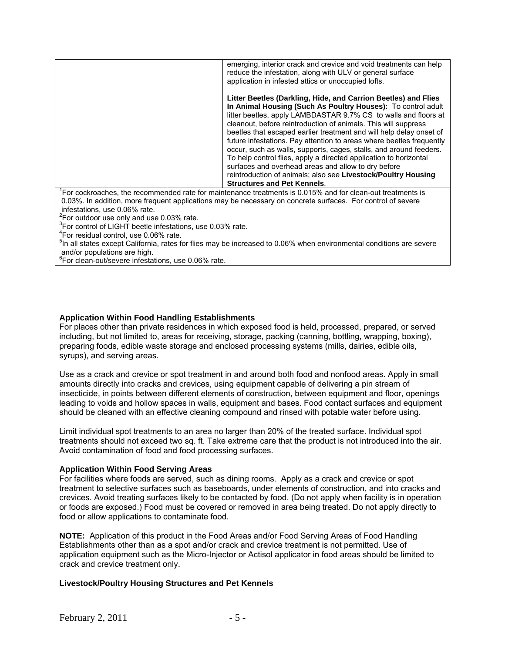|                                                                        | emerging, interior crack and crevice and void treatments can help<br>reduce the infestation, along with ULV or general surface              |
|------------------------------------------------------------------------|---------------------------------------------------------------------------------------------------------------------------------------------|
|                                                                        | application in infested attics or unoccupied lofts.                                                                                         |
|                                                                        | Litter Beetles (Darkling, Hide, and Carrion Beetles) and Flies<br>In Animal Housing (Such As Poultry Houses): To control adult              |
|                                                                        | litter beetles, apply LAMBDASTAR 9.7% CS to walls and floors at                                                                             |
|                                                                        | cleanout, before reintroduction of animals. This will suppress                                                                              |
|                                                                        | beetles that escaped earlier treatment and will help delay onset of<br>future infestations. Pay attention to areas where beetles frequently |
|                                                                        | occur, such as walls, supports, cages, stalls, and around feeders.                                                                          |
|                                                                        | To help control flies, apply a directed application to horizontal<br>surfaces and overhead areas and allow to dry before                    |
|                                                                        | reintroduction of animals; also see Livestock/Poultry Housing                                                                               |
|                                                                        | <b>Structures and Pet Kennels.</b>                                                                                                          |
|                                                                        | For cockroaches, the recommended rate for maintenance treatments is 0.015% and for clean-out treatments is                                  |
|                                                                        | 0.03%. In addition, more frequent applications may be necessary on concrete surfaces. For control of severe                                 |
| infestations, use 0.06% rate.                                          |                                                                                                                                             |
| $2$ For outdoor use only and use 0.03% rate.                           |                                                                                                                                             |
| <sup>3</sup> For control of LIGHT beetle infestations, use 0.03% rate. |                                                                                                                                             |
| <sup>4</sup> For residual control, use 0.06% rate.                     |                                                                                                                                             |
|                                                                        | <sup>5</sup> In all states except California, rates for flies may be increased to 0.06% when environmental conditions are severe            |
| and/or populations are high.                                           |                                                                                                                                             |

and/or populations are high. 6 For clean-out/severe infestations, use 0.06% rate.

#### **Application Within Food Handling Establishments**

For places other than private residences in which exposed food is held, processed, prepared, or served including, but not limited to, areas for receiving, storage, packing (canning, bottling, wrapping, boxing), preparing foods, edible waste storage and enclosed processing systems (mills, dairies, edible oils, syrups), and serving areas.

Use as a crack and crevice or spot treatment in and around both food and nonfood areas. Apply in small amounts directly into cracks and crevices, using equipment capable of delivering a pin stream of insecticide, in points between different elements of construction, between equipment and floor, openings leading to voids and hollow spaces in walls, equipment and bases. Food contact surfaces and equipment should be cleaned with an effective cleaning compound and rinsed with potable water before using.

Limit individual spot treatments to an area no larger than 20% of the treated surface. Individual spot treatments should not exceed two sq. ft. Take extreme care that the product is not introduced into the air. Avoid contamination of food and food processing surfaces.

#### **Application Within Food Serving Areas**

For facilities where foods are served, such as dining rooms. Apply as a crack and crevice or spot treatment to selective surfaces such as baseboards, under elements of construction, and into cracks and crevices. Avoid treating surfaces likely to be contacted by food. (Do not apply when facility is in operation or foods are exposed.) Food must be covered or removed in area being treated. Do not apply directly to food or allow applications to contaminate food.

**NOTE:** Application of this product in the Food Areas and/or Food Serving Areas of Food Handling Establishments other than as a spot and/or crack and crevice treatment is not permitted. Use of application equipment such as the Micro-Injector or Actisol applicator in food areas should be limited to crack and crevice treatment only.

#### **Livestock/Poultry Housing Structures and Pet Kennels**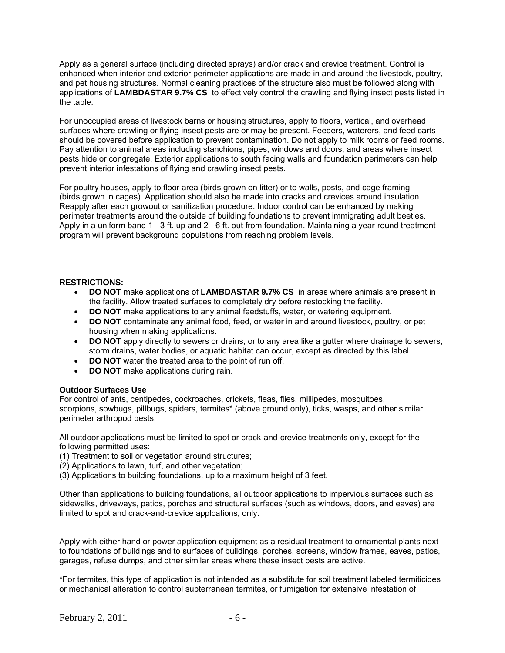Apply as a general surface (including directed sprays) and/or crack and crevice treatment. Control is enhanced when interior and exterior perimeter applications are made in and around the livestock, poultry, and pet housing structures. Normal cleaning practices of the structure also must be followed along with applications of **LAMBDASTAR 9.7% CS** to effectively control the crawling and flying insect pests listed in the table.

For unoccupied areas of livestock barns or housing structures, apply to floors, vertical, and overhead surfaces where crawling or flying insect pests are or may be present. Feeders, waterers, and feed carts should be covered before application to prevent contamination. Do not apply to milk rooms or feed rooms. Pay attention to animal areas including stanchions, pipes, windows and doors, and areas where insect pests hide or congregate. Exterior applications to south facing walls and foundation perimeters can help prevent interior infestations of flying and crawling insect pests.

For poultry houses, apply to floor area (birds grown on litter) or to walls, posts, and cage framing (birds grown in cages). Application should also be made into cracks and crevices around insulation. Reapply after each growout or sanitization procedure. Indoor control can be enhanced by making perimeter treatments around the outside of building foundations to prevent immigrating adult beetles. Apply in a uniform band 1 - 3 ft. up and 2 - 6 ft. out from foundation. Maintaining a year-round treatment program will prevent background populations from reaching problem levels.

#### **RESTRICTIONS:**

- **DO NOT** make applications of **LAMBDASTAR 9.7% CS** in areas where animals are present in the facility. Allow treated surfaces to completely dry before restocking the facility.
- **DO NOT** make applications to any animal feedstuffs, water, or watering equipment.
- **DO NOT** contaminate any animal food, feed, or water in and around livestock, poultry, or pet housing when making applications.
- **DO NOT** apply directly to sewers or drains, or to any area like a gutter where drainage to sewers, storm drains, water bodies, or aquatic habitat can occur, except as directed by this label.
- **DO NOT** water the treated area to the point of run off.
- **DO NOT** make applications during rain.

#### **Outdoor Surfaces Use**

For control of ants, centipedes, cockroaches, crickets, fleas, flies, millipedes, mosquitoes, scorpions, sowbugs, pillbugs, spiders, termites\* (above ground only), ticks, wasps, and other similar perimeter arthropod pests.

All outdoor applications must be limited to spot or crack-and-crevice treatments only, except for the following permitted uses:

- (1) Treatment to soil or vegetation around structures;
- (2) Applications to lawn, turf, and other vegetation;
- (3) Applications to building foundations, up to a maximum height of 3 feet.

Other than applications to building foundations, all outdoor applications to impervious surfaces such as sidewalks, driveways, patios, porches and structural surfaces (such as windows, doors, and eaves) are limited to spot and crack-and-crevice applcations, only.

Apply with either hand or power application equipment as a residual treatment to ornamental plants next to foundations of buildings and to surfaces of buildings, porches, screens, window frames, eaves, patios, garages, refuse dumps, and other similar areas where these insect pests are active.

\*For termites, this type of application is not intended as a substitute for soil treatment labeled termiticides or mechanical alteration to control subterranean termites, or fumigation for extensive infestation of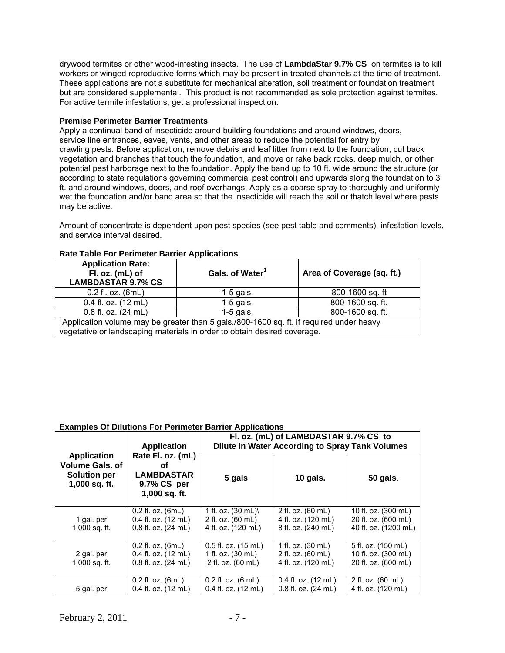drywood termites or other wood-infesting insects. The use of **LambdaStar 9.7% CS** on termites is to kill workers or winged reproductive forms which may be present in treated channels at the time of treatment. These applications are not a substitute for mechanical alteration, soil treatment or foundation treatment but are considered supplemental. This product is not recommended as sole protection against termites. For active termite infestations, get a professional inspection.

### **Premise Perimeter Barrier Treatments**

Apply a continual band of insecticide around building foundations and around windows, doors, service line entrances, eaves, vents, and other areas to reduce the potential for entry by crawling pests. Before application, remove debris and leaf litter from next to the foundation, cut back vegetation and branches that touch the foundation, and move or rake back rocks, deep mulch, or other potential pest harborage next to the foundation. Apply the band up to 10 ft. wide around the structure (or according to state regulations governing commercial pest control) and upwards along the foundation to 3 ft. and around windows, doors, and roof overhangs. Apply as a coarse spray to thoroughly and uniformly wet the foundation and/or band area so that the insecticide will reach the soil or thatch level where pests may be active.

Amount of concentrate is dependent upon pest species (see pest table and comments), infestation levels, and service interval desired.

| <b>Application Rate:</b><br>Fl. oz. (mL) of<br><b>LAMBDASTAR 9.7% CS</b>                                                                                            | Gals. of Water <sup>1</sup> | Area of Coverage (sq. ft.) |  |
|---------------------------------------------------------------------------------------------------------------------------------------------------------------------|-----------------------------|----------------------------|--|
| $0.2$ fl. oz. $(6mL)$                                                                                                                                               | $1-5$ gals.                 | 800-1600 sq. ft            |  |
| $0.4$ fl. oz. $(12 \text{ mL})$                                                                                                                                     | $1-5$ gals.                 | 800-1600 sq. ft.           |  |
| 0.8 fl. oz. (24 mL)                                                                                                                                                 | $1-5$ gals.                 | 800-1600 sq. ft.           |  |
| Application volume may be greater than 5 gals./800-1600 sq. ft. if required under heavy<br>vegetative or landscaping materials in order to obtain desired coverage. |                             |                            |  |

### **Rate Table For Perimeter Barrier Applications**

#### **Examples Of Dilutions For Perimeter Barrier Applications**

| <b>Application</b>                                                                   |                                                                                 | Fl. oz. (mL) of LAMBDASTAR 9.7% CS to<br>Dilute in Water According to Spray Tank Volumes |                                                               |                                                                    |  |
|--------------------------------------------------------------------------------------|---------------------------------------------------------------------------------|------------------------------------------------------------------------------------------|---------------------------------------------------------------|--------------------------------------------------------------------|--|
| <b>Application</b><br><b>Volume Gals, of</b><br><b>Solution per</b><br>1,000 sq. ft. | Rate Fl. oz. (mL)<br>Οf<br><b>LAMBDASTAR</b><br>9.7% CS per<br>1,000 sq. ft.    | 5 gals.                                                                                  | $10$ gals.                                                    | <b>50 gals.</b>                                                    |  |
| 1 gal. per<br>$1,000$ sq. ft.                                                        | $0.2$ fl. oz. $(6mL)$<br>0.4 fl. oz. (12 mL)<br>$0.8$ fl. oz. $(24 \text{ mL})$ | 1 fl. oz. $(30 \text{ mL})$<br>2 fl. oz. (60 mL)<br>4 fl. oz. (120 mL)                   | 2 fl. oz. (60 mL)<br>4 fl. oz. (120 mL)<br>8 fl. oz. (240 mL) | 10 fl. oz. (300 mL)<br>20 fl. oz. (600 mL)<br>40 fl. oz. (1200 mL) |  |
| 2 gal. per<br>$1,000$ sq. ft.                                                        | $0.2$ fl. oz. $(6mL)$<br>0.4 fl. oz. (12 mL)<br>$0.8$ fl. oz. $(24 \text{ mL})$ | $0.5$ fl. oz. $(15$ mL)<br>1 fl. oz. $(30 \text{ mL})$<br>2 fl. oz. (60 mL)              | 1 fl. oz. (30 mL)<br>2 fl. oz. (60 mL)<br>4 fl. oz. (120 mL)  | 5 fl. oz. (150 mL)<br>10 fl. oz. (300 mL)<br>20 fl. oz. (600 mL)   |  |
| 5 gal. per                                                                           | $0.2$ fl. oz. $(6mL)$<br>0.4 fl. oz. (12 mL)                                    | $0.2$ fl. oz. $(6 \text{ mL})$<br>0.4 fl. oz. (12 mL)                                    | $0.4$ fl. oz. $(12 \text{ mL})$<br>0.8 fl. oz. (24 mL)        | 2 fl. oz. (60 mL)<br>4 fl. oz. (120 mL)                            |  |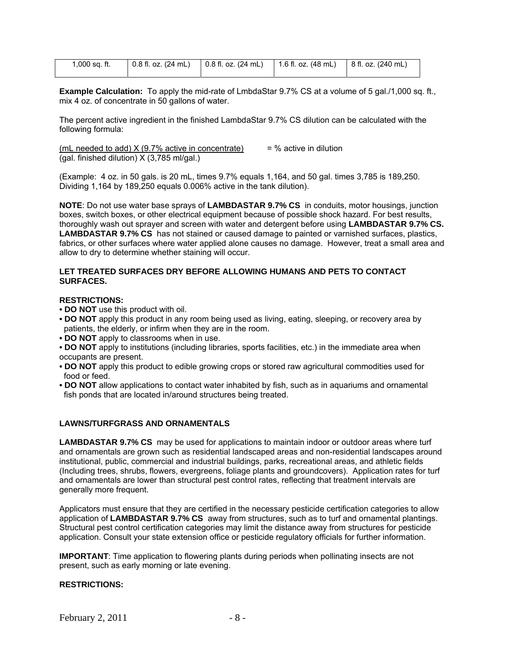| 1,000 sq. ft. | $\vert$ 0.8 fl. oz. (24 mL) $\vert$ 0.8 fl. oz. (24 mL) $\vert$ 1.6 fl. oz. (48 mL) $\vert$ 8 fl. oz. (240 mL) |  |
|---------------|----------------------------------------------------------------------------------------------------------------|--|
|               |                                                                                                                |  |

**Example Calculation:** To apply the mid-rate of LmbdaStar 9.7% CS at a volume of 5 gal./1,000 sq. ft., mix 4 oz. of concentrate in 50 gallons of water.

The percent active ingredient in the finished LambdaStar 9.7% CS dilution can be calculated with the following formula:

(mL needed to add)  $X$  (9.7% active in concentrate) = % active in dilution (gal. finished dilution) X (3,785 ml/gal.)

(Example: 4 oz. in 50 gals. is 20 mL, times 9.7% equals 1,164, and 50 gal. times 3,785 is 189,250. Dividing 1,164 by 189,250 equals 0.006% active in the tank dilution).

**NOTE**: Do not use water base sprays of **LAMBDASTAR 9.7% CS** in conduits, motor housings, junction boxes, switch boxes, or other electrical equipment because of possible shock hazard. For best results, thoroughly wash out sprayer and screen with water and detergent before using **LAMBDASTAR 9.7% CS. LAMBDASTAR 9.7% CS** has not stained or caused damage to painted or varnished surfaces, plastics, fabrics, or other surfaces where water applied alone causes no damage. However, treat a small area and allow to dry to determine whether staining will occur.

#### **LET TREATED SURFACES DRY BEFORE ALLOWING HUMANS AND PETS TO CONTACT SURFACES.**

# **RESTRICTIONS:**

- **DO NOT** use this product with oil.
- **DO NOT** apply this product in any room being used as living, eating, sleeping, or recovery area by patients, the elderly, or infirm when they are in the room.
- **DO NOT** apply to classrooms when in use.
- **DO NOT** apply to institutions (including libraries, sports facilities, etc.) in the immediate area when occupants are present.
- **DO NOT** apply this product to edible growing crops or stored raw agricultural commodities used for food or feed.
- **DO NOT** allow applications to contact water inhabited by fish, such as in aquariums and ornamental fish ponds that are located in/around structures being treated.

## **LAWNS/TURFGRASS AND ORNAMENTALS**

**LAMBDASTAR 9.7% CS** may be used for applications to maintain indoor or outdoor areas where turf and ornamentals are grown such as residential landscaped areas and non-residential landscapes around institutional, public, commercial and industrial buildings, parks, recreational areas, and athletic fields (Including trees, shrubs, flowers, evergreens, foliage plants and groundcovers). Application rates for turf and ornamentals are lower than structural pest control rates, reflecting that treatment intervals are generally more frequent.

Applicators must ensure that they are certified in the necessary pesticide certification categories to allow application of **LAMBDASTAR 9.7% CS** away from structures, such as to turf and ornamental plantings. Structural pest control certification categories may limit the distance away from structures for pesticide application. Consult your state extension office or pesticide regulatory officials for further information.

**IMPORTANT**: Time application to flowering plants during periods when pollinating insects are not present, such as early morning or late evening.

#### **RESTRICTIONS:**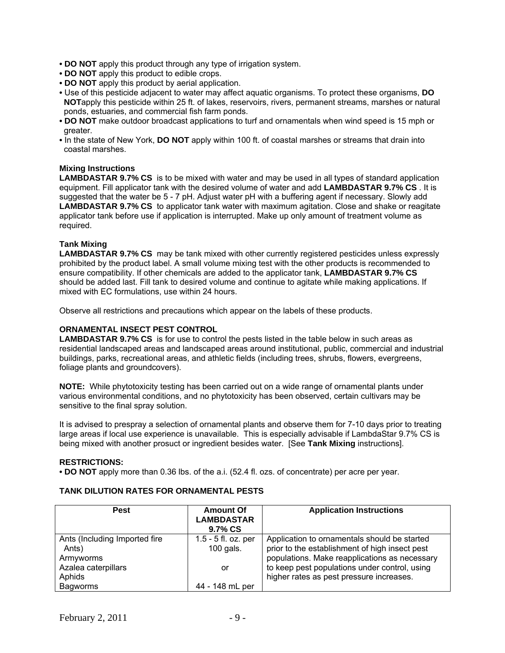- **DO NOT** apply this product through any type of irrigation system.
- **DO NOT** apply this product to edible crops.
- **DO NOT** apply this product by aerial application.
- Use of this pesticide adjacent to water may affect aquatic organisms. To protect these organisms, **DO NOT**apply this pesticide within 25 ft. of lakes, reservoirs, rivers, permanent streams, marshes or natural ponds, estuaries, and commercial fish farm ponds.
- **DO NOT** make outdoor broadcast applications to turf and ornamentals when wind speed is 15 mph or greater.
- In the state of New York, **DO NOT** apply within 100 ft. of coastal marshes or streams that drain into coastal marshes.

#### **Mixing Instructions**

**LAMBDASTAR 9.7% CS** is to be mixed with water and may be used in all types of standard application equipment. Fill applicator tank with the desired volume of water and add **LAMBDASTAR 9.7% CS** . It is suggested that the water be 5 - 7 pH. Adjust water pH with a buffering agent if necessary. Slowly add **LAMBDASTAR 9.7% CS** to applicator tank water with maximum agitation. Close and shake or reagitate applicator tank before use if application is interrupted. Make up only amount of treatment volume as required.

## **Tank Mixing**

**LAMBDASTAR 9.7% CS** may be tank mixed with other currently registered pesticides unless expressly prohibited by the product label. A small volume mixing test with the other products is recommended to ensure compatibility. If other chemicals are added to the applicator tank, **LAMBDASTAR 9.7% CS**  should be added last. Fill tank to desired volume and continue to agitate while making applications. If mixed with EC formulations, use within 24 hours.

Observe all restrictions and precautions which appear on the labels of these products.

#### **ORNAMENTAL INSECT PEST CONTROL**

**LAMBDASTAR 9.7% CS** is for use to control the pests listed in the table below in such areas as residential landscaped areas and landscaped areas around institutional, public, commercial and industrial buildings, parks, recreational areas, and athletic fields (including trees, shrubs, flowers, evergreens, foliage plants and groundcovers).

**NOTE:** While phytotoxicity testing has been carried out on a wide range of ornamental plants under various environmental conditions, and no phytotoxicity has been observed, certain cultivars may be sensitive to the final spray solution.

It is advised to prespray a selection of ornamental plants and observe them for 7-10 days prior to treating large areas if local use experience is unavailable. This is especially advisable if LambdaStar 9.7% CS is being mixed with another prosuct or ingredient besides water. [See **Tank Mixing** instructions].

#### **RESTRICTIONS:**

**• DO NOT** apply more than 0.36 lbs. of the a.i. (52.4 fl. ozs. of concentrate) per acre per year.

#### **TANK DILUTION RATES FOR ORNAMENTAL PESTS**

| <b>Pest</b>                                         | <b>Amount Of</b><br><b>LAMBDASTAR</b><br>9.7% CS | <b>Application Instructions</b>                                                                                                                 |
|-----------------------------------------------------|--------------------------------------------------|-------------------------------------------------------------------------------------------------------------------------------------------------|
| Ants (Including Imported fire<br>Ants)<br>Armyworms | $1.5 - 5$ fl. oz. per<br>100 gals.               | Application to ornamentals should be started<br>prior to the establishment of high insect pest<br>populations. Make reapplications as necessary |
| Azalea caterpillars<br>Aphids                       | or                                               | to keep pest populations under control, using<br>higher rates as pest pressure increases.                                                       |
| Bagworms                                            | 44 - 148 mL per                                  |                                                                                                                                                 |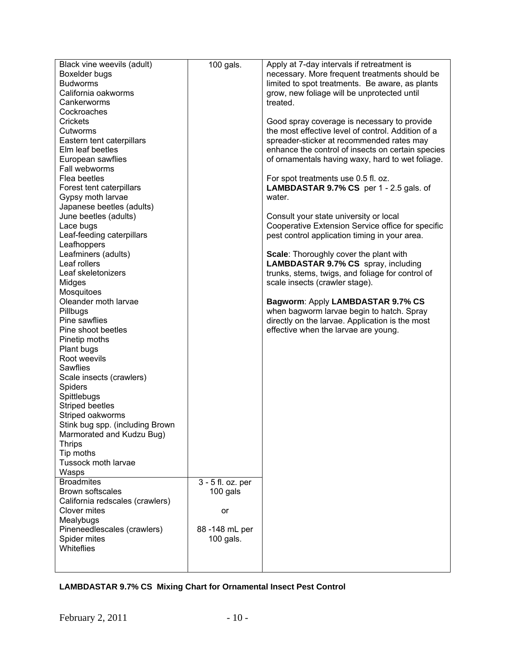| Black vine weevils (adult)      | 100 gals.         | Apply at 7-day intervals if retreatment is         |
|---------------------------------|-------------------|----------------------------------------------------|
| Boxelder bugs                   |                   | necessary. More frequent treatments should be      |
| <b>Budworms</b>                 |                   | limited to spot treatments. Be aware, as plants    |
| California oakworms             |                   | grow, new foliage will be unprotected until        |
| Cankerworms                     |                   | treated.                                           |
| Cockroaches                     |                   |                                                    |
| Crickets                        |                   | Good spray coverage is necessary to provide        |
| Cutworms                        |                   | the most effective level of control. Addition of a |
| Eastern tent caterpillars       |                   | spreader-sticker at recommended rates may          |
| Elm leaf beetles                |                   | enhance the control of insects on certain species  |
| European sawflies               |                   | of ornamentals having waxy, hard to wet foliage.   |
| Fall webworms                   |                   |                                                    |
| Flea beetles                    |                   | For spot treatments use 0.5 fl. oz.                |
| Forest tent caterpillars        |                   | <b>LAMBDASTAR 9.7% CS</b> per 1 - 2.5 gals. of     |
| Gypsy moth larvae               |                   | water.                                             |
| Japanese beetles (adults)       |                   |                                                    |
| June beetles (adults)           |                   | Consult your state university or local             |
| Lace bugs                       |                   | Cooperative Extension Service office for specific  |
| Leaf-feeding caterpillars       |                   | pest control application timing in your area.      |
| Leafhoppers                     |                   |                                                    |
| Leafminers (adults)             |                   | Scale: Thoroughly cover the plant with             |
| Leaf rollers                    |                   | <b>LAMBDASTAR 9.7% CS</b> spray, including         |
| Leaf skeletonizers              |                   | trunks, stems, twigs, and foliage for control of   |
| Midges                          |                   | scale insects (crawler stage).                     |
| Mosquitoes                      |                   |                                                    |
| Oleander moth larvae            |                   | Bagworm: Apply LAMBDASTAR 9.7% CS                  |
| Pillbugs                        |                   | when bagworm larvae begin to hatch. Spray          |
| Pine sawflies                   |                   | directly on the larvae. Application is the most    |
| Pine shoot beetles              |                   | effective when the larvae are young.               |
| Pinetip moths                   |                   |                                                    |
| Plant bugs                      |                   |                                                    |
| Root weevils                    |                   |                                                    |
| Sawflies                        |                   |                                                    |
| Scale insects (crawlers)        |                   |                                                    |
| <b>Spiders</b>                  |                   |                                                    |
| Spittlebugs                     |                   |                                                    |
| <b>Striped beetles</b>          |                   |                                                    |
| Striped oakworms                |                   |                                                    |
| Stink bug spp. (including Brown |                   |                                                    |
| Marmorated and Kudzu Bug)       |                   |                                                    |
| <b>Thrips</b>                   |                   |                                                    |
| Tip moths                       |                   |                                                    |
| Tussock moth larvae             |                   |                                                    |
| Wasps<br><b>Broadmites</b>      |                   |                                                    |
| Brown softscales                | 3 - 5 fl. oz. per |                                                    |
| California redscales (crawlers) | 100 gals          |                                                    |
| Clover mites                    | or                |                                                    |
| Mealybugs                       |                   |                                                    |
| Pineneedlescales (crawlers)     | 88 - 148 mL per   |                                                    |
| Spider mites                    | 100 gals.         |                                                    |
| Whiteflies                      |                   |                                                    |
|                                 |                   |                                                    |
|                                 |                   |                                                    |

# **LAMBDASTAR 9.7% CS Mixing Chart for Ornamental Insect Pest Control**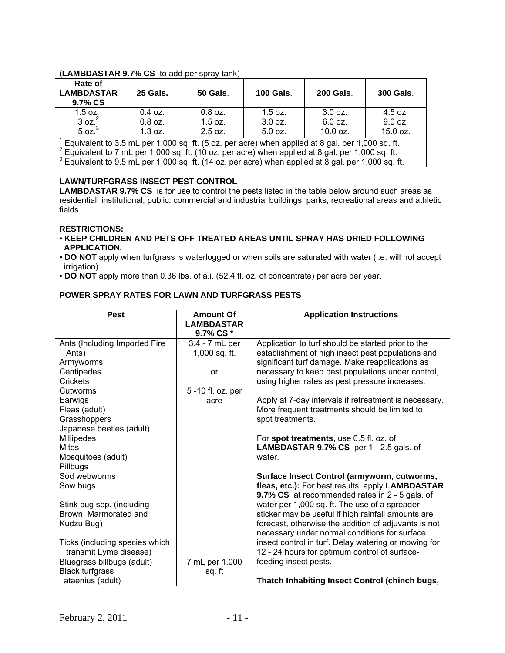# (**LAMBDASTAR 9.7% CS** to add per spray tank)

| Rate of<br><b>LAMBDASTAR</b><br>9.7% CS                                                                                                                                                                        | 25 Gals.  | <b>50 Gals.</b> | <b>100 Gals.</b> | <b>200 Gals.</b> | <b>300 Gals.</b> |
|----------------------------------------------------------------------------------------------------------------------------------------------------------------------------------------------------------------|-----------|-----------------|------------------|------------------|------------------|
| 1.5 oz. $^{-1}$                                                                                                                                                                                                | $0.4$ oz. | $0.8$ oz.       | $1.5$ oz.        | $3.0$ oz.        | $4.5$ oz.        |
| 3 oz. <sup>2</sup>                                                                                                                                                                                             | $0.8$ oz. | $1.5$ oz.       | $3.0$ oz.        | 6.0 oz.          | $9.0$ oz.        |
| 5 oz. <sup>3</sup>                                                                                                                                                                                             | $1.3$ oz. | $2.5$ oz.       | $5.0$ oz.        | 10.0 oz.         | 15.0 oz.         |
| $^1$ Equivalent to 3.5 mL per 1,000 sq. ft. (5 oz. per acre) when applied at 8 gal. per 1,000 sq. ft.<br>$^{2}$ Fquired at to 7 ml par 1,000 eq. ft. (10.07, par ears) when applied at 8 and par 1,000 eq. ft. |           |                 |                  |                  |                  |
|                                                                                                                                                                                                                |           |                 |                  |                  |                  |

 $^2$  Equivalent to 7 mL per 1,000 sq. ft. (10 oz. per acre) when applied at 8 gal. per 1,000 sq. ft.<br><sup>3</sup> Equivalent to 8 5 mL per 1,000 sq. ft. (14 ez. per acre) when applied at 8 gal. per 1,000 sq. f

<sup>3</sup> Equivalent to 9.5 mL per 1,000 sq. ft. (14 oz. per acre) when applied at 8 gal. per 1,000 sq. ft.

# **LAWN/TURFGRASS INSECT PEST CONTROL**

**LAMBDASTAR 9.7% CS** is for use to control the pests listed in the table below around such areas as residential, institutional, public, commercial and industrial buildings, parks, recreational areas and athletic fields.

#### **RESTRICTIONS:**

- **KEEP CHILDREN AND PETS OFF TREATED AREAS UNTIL SPRAY HAS DRIED FOLLOWING APPLICATION.**
- **DO NOT** apply when turfgrass is waterlogged or when soils are saturated with water (i.e. will not accept irrigation).
- **DO NOT** apply more than 0.36 lbs. of a.i. (52.4 fl. oz. of concentrate) per acre per year.

# **POWER SPRAY RATES FOR LAWN AND TURFGRASS PESTS**

| <b>Pest</b>                    | <b>Amount Of</b><br><b>LAMBDASTAR</b><br>9.7% CS * | <b>Application Instructions</b>                          |
|--------------------------------|----------------------------------------------------|----------------------------------------------------------|
| Ants (Including Imported Fire  | 3.4 - 7 mL per                                     | Application to turf should be started prior to the       |
| Ants)                          | 1,000 sq. ft.                                      | establishment of high insect pest populations and        |
| Armyworms                      |                                                    | significant turf damage. Make reapplications as          |
| Centipedes                     | or                                                 | necessary to keep pest populations under control,        |
| Crickets                       |                                                    | using higher rates as pest pressure increases.           |
| Cutworms                       | 5 -10 fl. oz. per                                  |                                                          |
| Earwigs                        | acre                                               | Apply at 7-day intervals if retreatment is necessary.    |
| Fleas (adult)                  |                                                    | More frequent treatments should be limited to            |
| Grasshoppers                   |                                                    | spot treatments.                                         |
| Japanese beetles (adult)       |                                                    |                                                          |
| Millipedes                     |                                                    | For spot treatments, use 0.5 fl. oz. of                  |
| <b>Mites</b>                   |                                                    | <b>LAMBDASTAR 9.7% CS</b> per 1 - 2.5 gals. of<br>water. |
| Mosquitoes (adult)<br>Pillbugs |                                                    |                                                          |
| Sod webworms                   |                                                    | Surface Insect Control (armyworm, cutworms,              |
| Sow bugs                       |                                                    | fleas, etc.): For best results, apply LAMBDASTAR         |
|                                |                                                    | 9.7% CS at recommended rates in 2 - 5 gals. of           |
| Stink bug spp. (including      |                                                    | water per 1,000 sq. ft. The use of a spreader-           |
| Brown Marmorated and           |                                                    | sticker may be useful if high rainfall amounts are       |
| Kudzu Bug)                     |                                                    | forecast, otherwise the addition of adjuvants is not     |
|                                |                                                    | necessary under normal conditions for surface            |
| Ticks (including species which |                                                    | insect control in turf. Delay watering or mowing for     |
| transmit Lyme disease)         |                                                    | 12 - 24 hours for optimum control of surface-            |
| Bluegrass billbugs (adult)     | 7 mL per 1,000                                     | feeding insect pests.                                    |
| <b>Black turfgrass</b>         | sq. ft                                             |                                                          |
| ataenius (adult)               |                                                    | Thatch Inhabiting Insect Control (chinch bugs,           |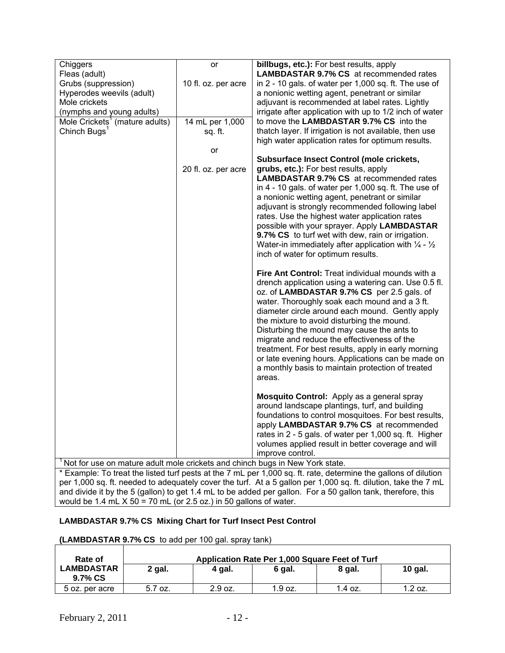| Chiggers                                                                                                                                                                                        | or                  | billbugs, etc.): For best results, apply                                  |  |  |  |  |
|-------------------------------------------------------------------------------------------------------------------------------------------------------------------------------------------------|---------------------|---------------------------------------------------------------------------|--|--|--|--|
| Fleas (adult)                                                                                                                                                                                   |                     | <b>LAMBDASTAR 9.7% CS</b> at recommended rates                            |  |  |  |  |
| Grubs (suppression)                                                                                                                                                                             | 10 fl. oz. per acre | in 2 - 10 gals. of water per 1,000 sq. ft. The use of                     |  |  |  |  |
| Hyperodes weevils (adult)                                                                                                                                                                       |                     | a nonionic wetting agent, penetrant or similar                            |  |  |  |  |
| Mole crickets                                                                                                                                                                                   |                     | adjuvant is recommended at label rates. Lightly                           |  |  |  |  |
| (nymphs and young adults)                                                                                                                                                                       |                     | irrigate after application with up to 1/2 inch of water                   |  |  |  |  |
| Mole Crickets <sup>1</sup> (mature adults)                                                                                                                                                      | 14 mL per 1,000     | to move the LAMBDASTAR 9.7% CS into the                                   |  |  |  |  |
| Chinch Bugs <sup>1</sup>                                                                                                                                                                        | sq. ft.             | thatch layer. If irrigation is not available, then use                    |  |  |  |  |
|                                                                                                                                                                                                 |                     | high water application rates for optimum results.                         |  |  |  |  |
|                                                                                                                                                                                                 | or                  |                                                                           |  |  |  |  |
|                                                                                                                                                                                                 |                     | <b>Subsurface Insect Control (mole crickets,</b>                          |  |  |  |  |
|                                                                                                                                                                                                 | 20 fl. oz. per acre | grubs, etc.): For best results, apply                                     |  |  |  |  |
|                                                                                                                                                                                                 |                     | <b>LAMBDASTAR 9.7% CS</b> at recommended rates                            |  |  |  |  |
|                                                                                                                                                                                                 |                     | in 4 - 10 gals. of water per 1,000 sq. ft. The use of                     |  |  |  |  |
|                                                                                                                                                                                                 |                     | a nonionic wetting agent, penetrant or similar                            |  |  |  |  |
|                                                                                                                                                                                                 |                     | adjuvant is strongly recommended following label                          |  |  |  |  |
|                                                                                                                                                                                                 |                     | rates. Use the highest water application rates                            |  |  |  |  |
|                                                                                                                                                                                                 |                     | possible with your sprayer. Apply LAMBDASTAR                              |  |  |  |  |
|                                                                                                                                                                                                 |                     | 9.7% CS to turf wet with dew, rain or irrigation.                         |  |  |  |  |
|                                                                                                                                                                                                 |                     | Water-in immediately after application with $\frac{1}{4}$ - $\frac{1}{2}$ |  |  |  |  |
|                                                                                                                                                                                                 |                     |                                                                           |  |  |  |  |
|                                                                                                                                                                                                 |                     | inch of water for optimum results.                                        |  |  |  |  |
|                                                                                                                                                                                                 |                     | <b>Fire Ant Control:</b> Treat individual mounds with a                   |  |  |  |  |
|                                                                                                                                                                                                 |                     | drench application using a watering can. Use 0.5 fl.                      |  |  |  |  |
|                                                                                                                                                                                                 |                     | oz. of LAMBDASTAR 9.7% CS per 2.5 gals. of                                |  |  |  |  |
|                                                                                                                                                                                                 |                     | water. Thoroughly soak each mound and a 3 ft.                             |  |  |  |  |
|                                                                                                                                                                                                 |                     | diameter circle around each mound. Gently apply                           |  |  |  |  |
|                                                                                                                                                                                                 |                     | the mixture to avoid disturbing the mound.                                |  |  |  |  |
|                                                                                                                                                                                                 |                     | Disturbing the mound may cause the ants to                                |  |  |  |  |
|                                                                                                                                                                                                 |                     | migrate and reduce the effectiveness of the                               |  |  |  |  |
|                                                                                                                                                                                                 |                     | treatment. For best results, apply in early morning                       |  |  |  |  |
|                                                                                                                                                                                                 |                     | or late evening hours. Applications can be made on                        |  |  |  |  |
|                                                                                                                                                                                                 |                     | a monthly basis to maintain protection of treated                         |  |  |  |  |
|                                                                                                                                                                                                 |                     | areas.                                                                    |  |  |  |  |
|                                                                                                                                                                                                 |                     |                                                                           |  |  |  |  |
|                                                                                                                                                                                                 |                     | Mosquito Control: Apply as a general spray                                |  |  |  |  |
|                                                                                                                                                                                                 |                     | around landscape plantings, turf, and building                            |  |  |  |  |
|                                                                                                                                                                                                 |                     | foundations to control mosquitoes. For best results,                      |  |  |  |  |
|                                                                                                                                                                                                 |                     | apply LAMBDASTAR 9.7% CS at recommended                                   |  |  |  |  |
|                                                                                                                                                                                                 |                     | rates in 2 - 5 gals. of water per 1,000 sq. ft. Higher                    |  |  |  |  |
|                                                                                                                                                                                                 |                     |                                                                           |  |  |  |  |
|                                                                                                                                                                                                 |                     | volumes applied result in better coverage and will                        |  |  |  |  |
|                                                                                                                                                                                                 |                     | improve control.                                                          |  |  |  |  |
| Not for use on mature adult mole crickets and chinch bugs in New York state.<br>* Example: To treat the listed turf pests at the 7 mL per 1,000 sq. ft. rate, determine the gallons of dilution |                     |                                                                           |  |  |  |  |
| a 4.000 and the probability and property that the first continuous and 000 and the distinct that the Truel                                                                                      |                     |                                                                           |  |  |  |  |

per 1,000 sq. ft. needed to adequately cover the turf. At a 5 gallon per 1,000 sq. ft. dilution, take the 7 mL and divide it by the 5 (gallon) to get 1.4 mL to be added per gallon. For a 50 gallon tank, therefore, this would be 1.4 mL  $X$  50 = 70 mL (or 2.5 oz.) in 50 gallons of water.

## **LAMBDASTAR 9.7% CS Mixing Chart for Turf Insect Pest Control**

# **(LAMBDASTAR 9.7% CS** to add per 100 gal. spray tank)

| Rate of                      | Application Rate Per 1,000 Square Feet of Turf |         |         |           |           |  |
|------------------------------|------------------------------------------------|---------|---------|-----------|-----------|--|
| <b>LAMBDASTAR</b><br>9.7% CS | 2 gal.                                         | 4 gal.  | 6 gal.  | 8 gal.    | 10 gal.   |  |
| 5 oz. per acre               | 5.7 oz.                                        | 2.9 oz. | 1.9 oz. | $1.4$ oz. | $1.2$ oz. |  |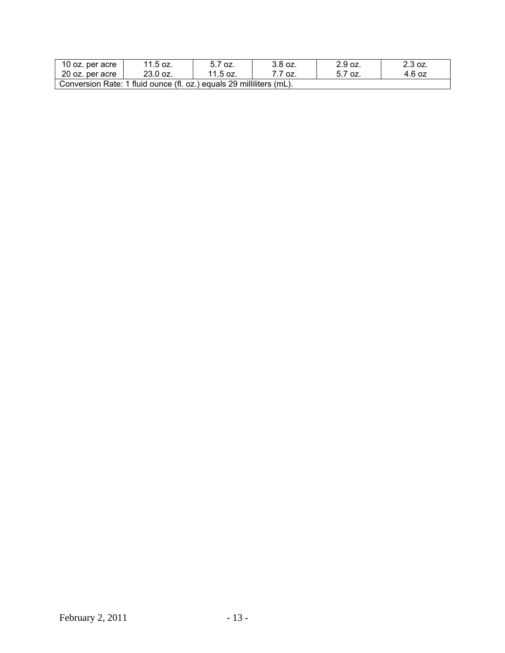| 10 oz. per acre                                                      | 11.5 oz. | 5.7 oz.  | 3.8 oz.  | 2.9 oz. | 2.3 oz. |  |  |  |
|----------------------------------------------------------------------|----------|----------|----------|---------|---------|--|--|--|
| 20 oz. per acre                                                      | 23.0 oz. | 11.5 oz. | $-7$ oz. | 5.7 oz. | 4.6 oz  |  |  |  |
| Conversion Rate: 1 fluid ounce (fl. oz.) equals 29 milliliters (mL). |          |          |          |         |         |  |  |  |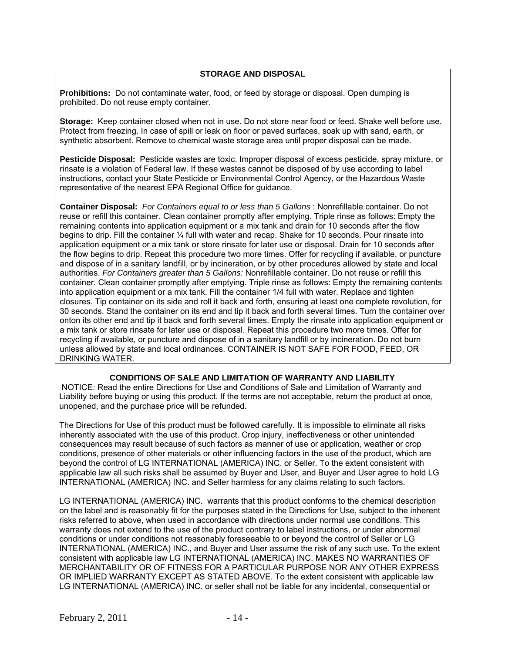# **STORAGE AND DISPOSAL**

**Prohibitions:** Do not contaminate water, food, or feed by storage or disposal. Open dumping is prohibited. Do not reuse empty container.

**Storage:** Keep container closed when not in use. Do not store near food or feed. Shake well before use. Protect from freezing. In case of spill or leak on floor or paved surfaces, soak up with sand, earth, or synthetic absorbent. Remove to chemical waste storage area until proper disposal can be made.

**Pesticide Disposal:** Pesticide wastes are toxic. Improper disposal of excess pesticide, spray mixture, or rinsate is a violation of Federal law. If these wastes cannot be disposed of by use according to label instructions, contact your State Pesticide or Environmental Control Agency, or the Hazardous Waste representative of the nearest EPA Regional Office for guidance.

**Container Disposal:** *For Containers equal to or less than 5 Gallons* : Nonrefillable container. Do not reuse or refill this container. Clean container promptly after emptying. Triple rinse as follows: Empty the remaining contents into application equipment or a mix tank and drain for 10 seconds after the flow begins to drip. Fill the container ¼ full with water and recap. Shake for 10 seconds. Pour rinsate into application equipment or a mix tank or store rinsate for later use or disposal. Drain for 10 seconds after the flow begins to drip. Repeat this procedure two more times. Offer for recycling if available, or puncture and dispose of in a sanitary landfill, or by incineration, or by other procedures allowed by state and local authorities. *For Containers greater than 5 Gallons:* Nonrefillable container. Do not reuse or refill this container. Clean container promptly after emptying. Triple rinse as follows: Empty the remaining contents into application equipment or a mix tank. Fill the container 1/4 full with water. Replace and tighten closures. Tip container on its side and roll it back and forth, ensuring at least one complete revolution, for 30 seconds. Stand the container on its end and tip it back and forth several times. Turn the container over onton its other end and tip it back and forth several times. Empty the rinsate into application equipment or a mix tank or store rinsate for later use or disposal. Repeat this procedure two more times. Offer for recycling if available, or puncture and dispose of in a sanitary landfill or by incineration. Do not burn unless allowed by state and local ordinances. CONTAINER IS NOT SAFE FOR FOOD, FEED, OR DRINKING WATER.

# **CONDITIONS OF SALE AND LIMITATION OF WARRANTY AND LIABILITY**

 NOTICE: Read the entire Directions for Use and Conditions of Sale and Limitation of Warranty and Liability before buying or using this product. If the terms are not acceptable, return the product at once, unopened, and the purchase price will be refunded.

The Directions for Use of this product must be followed carefully. It is impossible to eliminate all risks inherently associated with the use of this product. Crop injury, ineffectiveness or other unintended consequences may result because of such factors as manner of use or application, weather or crop conditions, presence of other materials or other influencing factors in the use of the product, which are beyond the control of LG INTERNATIONAL (AMERICA) INC. or Seller. To the extent consistent with applicable law all such risks shall be assumed by Buyer and User, and Buyer and User agree to hold LG INTERNATIONAL (AMERICA) INC. and Seller harmless for any claims relating to such factors.

LG INTERNATIONAL (AMERICA) INC. warrants that this product conforms to the chemical description on the label and is reasonably fit for the purposes stated in the Directions for Use, subject to the inherent risks referred to above, when used in accordance with directions under normal use conditions. This warranty does not extend to the use of the product contrary to label instructions, or under abnormal conditions or under conditions not reasonably foreseeable to or beyond the control of Seller or LG INTERNATIONAL (AMERICA) INC., and Buyer and User assume the risk of any such use. To the extent consistent with applicable law LG INTERNATIONAL (AMERICA) INC. MAKES NO WARRANTIES OF MERCHANTABILITY OR OF FITNESS FOR A PARTICULAR PURPOSE NOR ANY OTHER EXPRESS OR IMPLIED WARRANTY EXCEPT AS STATED ABOVE. To the extent consistent with applicable law LG INTERNATIONAL (AMERICA) INC. or seller shall not be liable for any incidental, consequential or